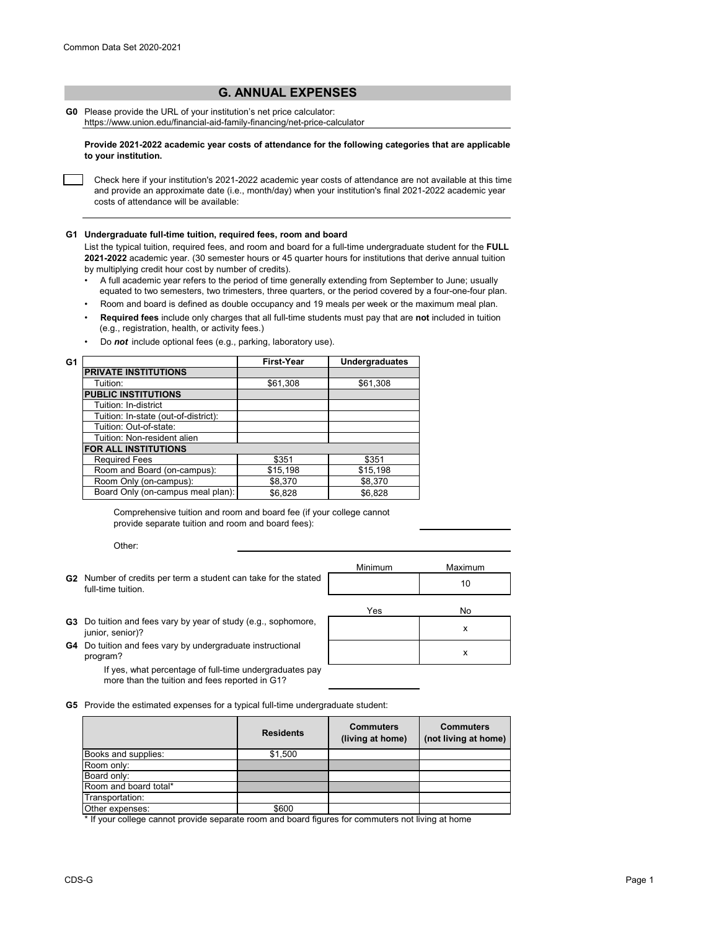## **G. ANNUAL EXPENSES**

**G0** Please provide the URL of your institution's net price calculator: https://www.union.edu/financial-aid-family-financing/net-price-calculator

**Provide 2021-2022 academic year costs of attendance for the following categories that are applicable to your institution.**

Check here if your institution's 2021-2022 academic year costs of attendance are not available at this time and provide an approximate date (i.e., month/day) when your institution's final 2021-2022 academic year costs of attendance will be available:

## **G1 Undergraduate full-time tuition, required fees, room and board**

List the typical tuition, required fees, and room and board for a full-time undergraduate student for the **FULL 2021-2022** academic year. (30 semester hours or 45 quarter hours for institutions that derive annual tuition by multiplying credit hour cost by number of credits).

- •A full academic year refers to the period of time generally extending from September to June; usually equated to two semesters, two trimesters, three quarters, or the period covered by a four-one-four plan.
- Room and board is defined as double occupancy and 19 meals per week or the maximum meal plan.
- • **Required fees** include only charges that all full-time students must pay that are **not** included in tuition (e.g., registration, health, or activity fees.)
- Do *not* include optional fees (e.g., parking, laboratory use).

| G1 |                                      | <b>First-Year</b> | <b>Undergraduates</b> |
|----|--------------------------------------|-------------------|-----------------------|
|    | <b>PRIVATE INSTITUTIONS</b>          |                   |                       |
|    | Tuition:                             | \$61,308          | \$61,308              |
|    | <b>PUBLIC INSTITUTIONS</b>           |                   |                       |
|    | Tuition: In-district                 |                   |                       |
|    | Tuition: In-state (out-of-district): |                   |                       |
|    | Tuition: Out-of-state:               |                   |                       |
|    | Tuition: Non-resident alien          |                   |                       |
|    | FOR ALL INSTITUTIONS                 |                   |                       |
|    | <b>Required Fees</b>                 | \$351             | \$351                 |
|    | Room and Board (on-campus):          | \$15,198          | \$15,198              |
|    | Room Only (on-campus):               | \$8.370           | \$8,370               |
|    | Board Only (on-campus meal plan):    | \$6,828           | \$6,828               |

Comprehensive tuition and room and board fee (if your college cannot provide separate tuition and room and board fees):

Other:

- Minimum Maximum **G2** Number of credits per term a student can take for the stated<br>full time tuition of the state of the state of the stated of the state of the state of the state of the state o Yes No full-time tuition.
- **G3** Do tuition and fees vary by year of study (e.g., sophomore, studies and all the senior)?<br>studies a senior)? junior, senior)?
- **G4** Do tuition and fees vary by undergraduate instructional **COVID-SET ASS**<br>Program? program?

If yes, what percentage of full-time undergraduates pay more than the tuition and fees reported in G1?

**G5** Provide the estimated expenses for a typical full-time undergraduate student:

|                       | <b>Residents</b> | <b>Commuters</b><br>(living at home) | <b>Commuters</b><br>(not living at home) |
|-----------------------|------------------|--------------------------------------|------------------------------------------|
| Books and supplies:   | \$1,500          |                                      |                                          |
| Room only:            |                  |                                      |                                          |
| Board only:           |                  |                                      |                                          |
| Room and board total* |                  |                                      |                                          |
| Transportation:       |                  |                                      |                                          |
| Other expenses:       | \$600            |                                      |                                          |

\* If your college cannot provide separate room and board figures for commuters not living at home